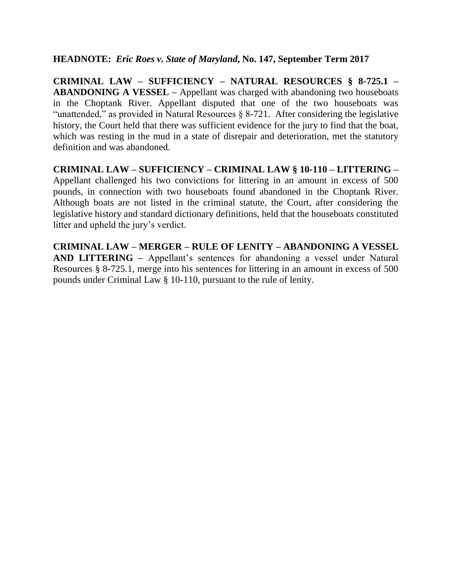# **HEADNOTE:** *Eric Roes v. State of Maryland***, No. 147, September Term 2017**

**CRIMINAL LAW – SUFFICIENCY – NATURAL RESOURCES § 8-725.1 – ABANDONING A VESSEL –** Appellant was charged with abandoning two houseboats in the Choptank River. Appellant disputed that one of the two houseboats was "unattended," as provided in Natural Resources  $\S$  8-721. After considering the legislative history, the Court held that there was sufficient evidence for the jury to find that the boat, which was resting in the mud in a state of disrepair and deterioration, met the statutory definition and was abandoned.

**CRIMINAL LAW – SUFFICIENCY – CRIMINAL LAW § 10-110 – LITTERING –** Appellant challenged his two convictions for littering in an amount in excess of 500 pounds, in connection with two houseboats found abandoned in the Choptank River. Although boats are not listed in the criminal statute, the Court, after considering the legislative history and standard dictionary definitions, held that the houseboats constituted litter and upheld the jury's verdict.

**CRIMINAL LAW – MERGER – RULE OF LENITY – ABANDONING A VESSEL AND LITTERING –** Appellant's sentences for abandoning a vessel under Natural Resources § 8-725.1, merge into his sentences for littering in an amount in excess of 500 pounds under Criminal Law § 10-110, pursuant to the rule of lenity.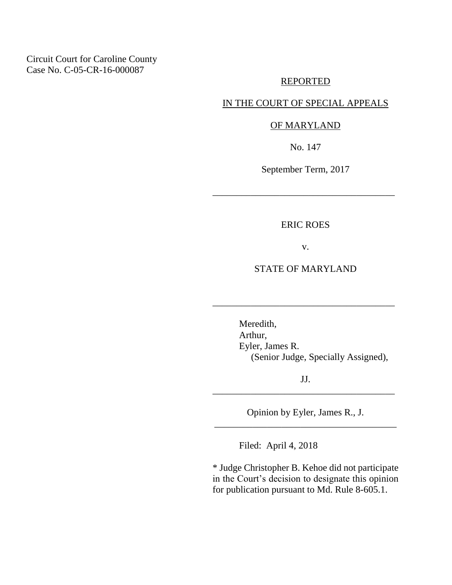Circuit Court for Caroline County Case No. C-05-CR-16-000087

### REPORTED

## IN THE COURT OF SPECIAL APPEALS

# OF MARYLAND

No. 147

September Term, 2017

\_\_\_\_\_\_\_\_\_\_\_\_\_\_\_\_\_\_\_\_\_\_\_\_\_\_\_\_\_\_\_\_\_\_\_\_\_\_

ERIC ROES

v.

# STATE OF MARYLAND

\_\_\_\_\_\_\_\_\_\_\_\_\_\_\_\_\_\_\_\_\_\_\_\_\_\_\_\_\_\_\_\_\_\_\_\_\_\_

Meredith, Arthur, Eyler, James R. (Senior Judge, Specially Assigned),

JJ. \_\_\_\_\_\_\_\_\_\_\_\_\_\_\_\_\_\_\_\_\_\_\_\_\_\_\_\_\_\_\_\_\_\_\_\_\_\_

Opinion by Eyler, James R., J. \_\_\_\_\_\_\_\_\_\_\_\_\_\_\_\_\_\_\_\_\_\_\_\_\_\_\_\_\_\_\_\_\_\_\_\_\_\_

Filed: April 4, 2018

\* Judge Christopher B. Kehoe did not participate in the Court's decision to designate this opinion for publication pursuant to Md. Rule 8-605.1.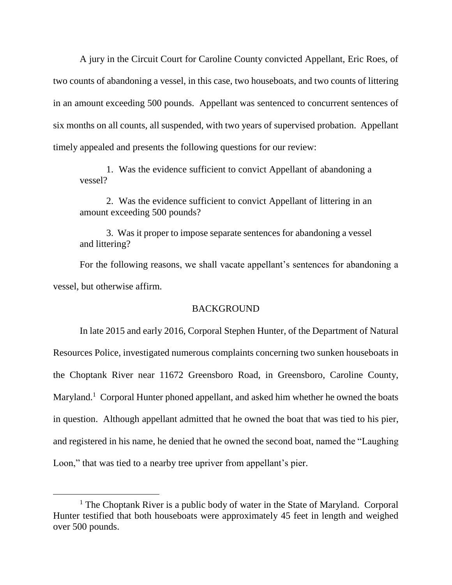A jury in the Circuit Court for Caroline County convicted Appellant, Eric Roes, of two counts of abandoning a vessel, in this case, two houseboats, and two counts of littering in an amount exceeding 500 pounds. Appellant was sentenced to concurrent sentences of six months on all counts, all suspended, with two years of supervised probation. Appellant timely appealed and presents the following questions for our review:

1. Was the evidence sufficient to convict Appellant of abandoning a vessel?

2. Was the evidence sufficient to convict Appellant of littering in an amount exceeding 500 pounds?

3. Was it proper to impose separate sentences for abandoning a vessel and littering?

For the following reasons, we shall vacate appellant's sentences for abandoning a vessel, but otherwise affirm.

## **BACKGROUND**

In late 2015 and early 2016, Corporal Stephen Hunter, of the Department of Natural Resources Police, investigated numerous complaints concerning two sunken houseboats in the Choptank River near 11672 Greensboro Road, in Greensboro, Caroline County, Maryland.<sup>1</sup> Corporal Hunter phoned appellant, and asked him whether he owned the boats in question. Although appellant admitted that he owned the boat that was tied to his pier, and registered in his name, he denied that he owned the second boat, named the "Laughing Loon," that was tied to a nearby tree upriver from appellant's pier.

 $\overline{a}$ 

<sup>&</sup>lt;sup>1</sup> The Choptank River is a public body of water in the State of Maryland. Corporal Hunter testified that both houseboats were approximately 45 feet in length and weighed over 500 pounds.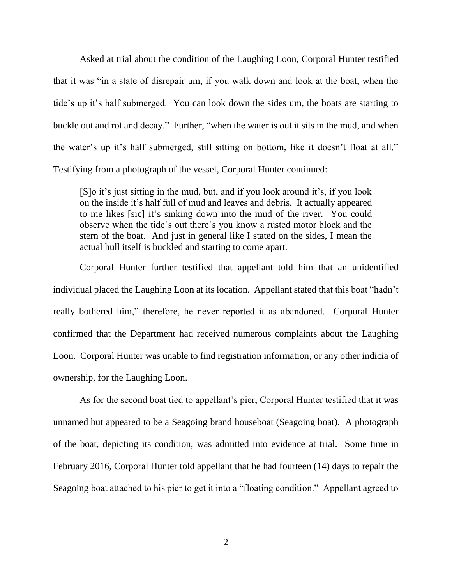Asked at trial about the condition of the Laughing Loon, Corporal Hunter testified that it was "in a state of disrepair um, if you walk down and look at the boat, when the tide's up it's half submerged. You can look down the sides um, the boats are starting to buckle out and rot and decay." Further, "when the water is out it sits in the mud, and when the water's up it's half submerged, still sitting on bottom, like it doesn't float at all." Testifying from a photograph of the vessel, Corporal Hunter continued:

[S]o it's just sitting in the mud, but, and if you look around it's, if you look on the inside it's half full of mud and leaves and debris. It actually appeared to me likes [sic] it's sinking down into the mud of the river. You could observe when the tide's out there's you know a rusted motor block and the stern of the boat. And just in general like I stated on the sides, I mean the actual hull itself is buckled and starting to come apart.

Corporal Hunter further testified that appellant told him that an unidentified individual placed the Laughing Loon at its location. Appellant stated that this boat "hadn't really bothered him," therefore, he never reported it as abandoned. Corporal Hunter confirmed that the Department had received numerous complaints about the Laughing Loon. Corporal Hunter was unable to find registration information, or any other indicia of ownership, for the Laughing Loon.

As for the second boat tied to appellant's pier, Corporal Hunter testified that it was unnamed but appeared to be a Seagoing brand houseboat (Seagoing boat). A photograph of the boat, depicting its condition, was admitted into evidence at trial. Some time in February 2016, Corporal Hunter told appellant that he had fourteen (14) days to repair the Seagoing boat attached to his pier to get it into a "floating condition." Appellant agreed to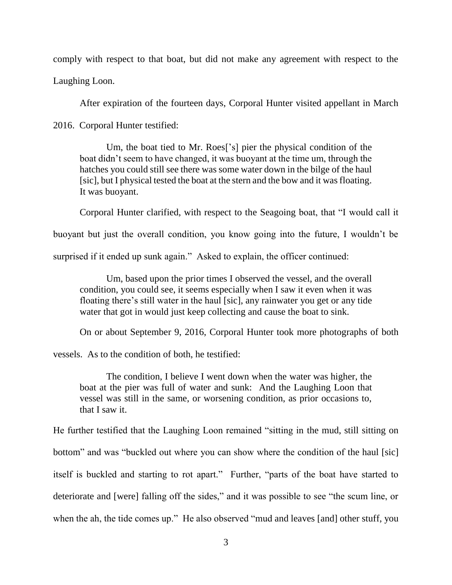comply with respect to that boat, but did not make any agreement with respect to the

Laughing Loon.

After expiration of the fourteen days, Corporal Hunter visited appellant in March

2016. Corporal Hunter testified:

Um, the boat tied to Mr. Roes['s] pier the physical condition of the boat didn't seem to have changed, it was buoyant at the time um, through the hatches you could still see there was some water down in the bilge of the haul [sic], but I physical tested the boat at the stern and the bow and it was floating. It was buoyant.

Corporal Hunter clarified, with respect to the Seagoing boat, that "I would call it

buoyant but just the overall condition, you know going into the future, I wouldn't be

surprised if it ended up sunk again." Asked to explain, the officer continued:

Um, based upon the prior times I observed the vessel, and the overall condition, you could see, it seems especially when I saw it even when it was floating there's still water in the haul [sic], any rainwater you get or any tide water that got in would just keep collecting and cause the boat to sink.

On or about September 9, 2016, Corporal Hunter took more photographs of both

vessels. As to the condition of both, he testified:

The condition, I believe I went down when the water was higher, the boat at the pier was full of water and sunk: And the Laughing Loon that vessel was still in the same, or worsening condition, as prior occasions to, that I saw it.

He further testified that the Laughing Loon remained "sitting in the mud, still sitting on

bottom" and was "buckled out where you can show where the condition of the haul [sic]

itself is buckled and starting to rot apart." Further, "parts of the boat have started to

deteriorate and [were] falling off the sides," and it was possible to see "the scum line, or

when the ah, the tide comes up." He also observed "mud and leaves [and] other stuff, you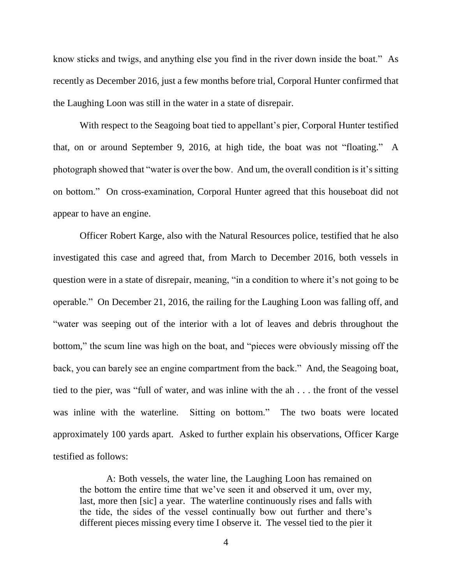know sticks and twigs, and anything else you find in the river down inside the boat." As recently as December 2016, just a few months before trial, Corporal Hunter confirmed that the Laughing Loon was still in the water in a state of disrepair.

With respect to the Seagoing boat tied to appellant's pier, Corporal Hunter testified that, on or around September 9, 2016, at high tide, the boat was not "floating." A photograph showed that "water is over the bow. And um, the overall condition is it's sitting on bottom." On cross-examination, Corporal Hunter agreed that this houseboat did not appear to have an engine.

Officer Robert Karge, also with the Natural Resources police, testified that he also investigated this case and agreed that, from March to December 2016, both vessels in question were in a state of disrepair, meaning, "in a condition to where it's not going to be operable." On December 21, 2016, the railing for the Laughing Loon was falling off, and "water was seeping out of the interior with a lot of leaves and debris throughout the bottom," the scum line was high on the boat, and "pieces were obviously missing off the back, you can barely see an engine compartment from the back." And, the Seagoing boat, tied to the pier, was "full of water, and was inline with the ah . . . the front of the vessel was inline with the waterline. Sitting on bottom." The two boats were located approximately 100 yards apart. Asked to further explain his observations, Officer Karge testified as follows:

A: Both vessels, the water line, the Laughing Loon has remained on the bottom the entire time that we've seen it and observed it um, over my, last, more then [sic] a year. The waterline continuously rises and falls with the tide, the sides of the vessel continually bow out further and there's different pieces missing every time I observe it. The vessel tied to the pier it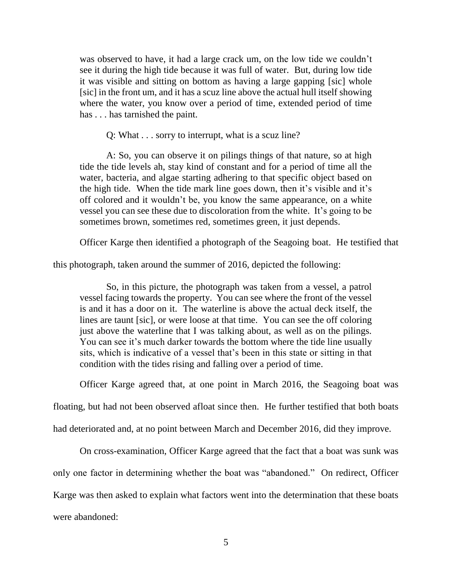was observed to have, it had a large crack um, on the low tide we couldn't see it during the high tide because it was full of water. But, during low tide it was visible and sitting on bottom as having a large gapping [sic] whole [sic] in the front um, and it has a scuz line above the actual hull itself showing where the water, you know over a period of time, extended period of time has . . . has tarnished the paint.

Q: What . . . sorry to interrupt, what is a scuz line?

A: So, you can observe it on pilings things of that nature, so at high tide the tide levels ah, stay kind of constant and for a period of time all the water, bacteria, and algae starting adhering to that specific object based on the high tide. When the tide mark line goes down, then it's visible and it's off colored and it wouldn't be, you know the same appearance, on a white vessel you can see these due to discoloration from the white. It's going to be sometimes brown, sometimes red, sometimes green, it just depends.

Officer Karge then identified a photograph of the Seagoing boat. He testified that

this photograph, taken around the summer of 2016, depicted the following:

So, in this picture, the photograph was taken from a vessel, a patrol vessel facing towards the property. You can see where the front of the vessel is and it has a door on it. The waterline is above the actual deck itself, the lines are taunt [sic], or were loose at that time. You can see the off coloring just above the waterline that I was talking about, as well as on the pilings. You can see it's much darker towards the bottom where the tide line usually sits, which is indicative of a vessel that's been in this state or sitting in that condition with the tides rising and falling over a period of time.

Officer Karge agreed that, at one point in March 2016, the Seagoing boat was

floating, but had not been observed afloat since then. He further testified that both boats

had deteriorated and, at no point between March and December 2016, did they improve.

On cross-examination, Officer Karge agreed that the fact that a boat was sunk was only one factor in determining whether the boat was "abandoned." On redirect, Officer Karge was then asked to explain what factors went into the determination that these boats were abandoned: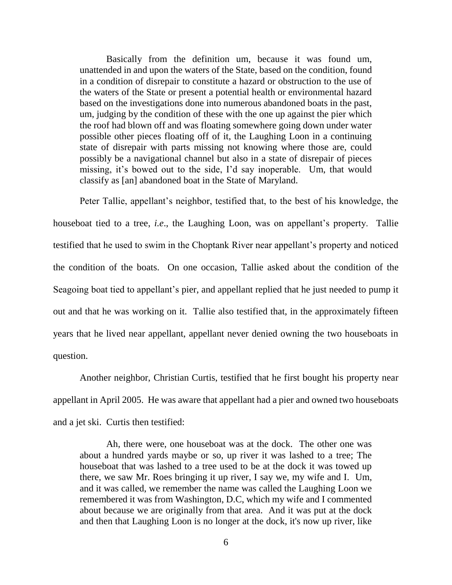Basically from the definition um, because it was found um, unattended in and upon the waters of the State, based on the condition, found in a condition of disrepair to constitute a hazard or obstruction to the use of the waters of the State or present a potential health or environmental hazard based on the investigations done into numerous abandoned boats in the past, um, judging by the condition of these with the one up against the pier which the roof had blown off and was floating somewhere going down under water possible other pieces floating off of it, the Laughing Loon in a continuing state of disrepair with parts missing not knowing where those are, could possibly be a navigational channel but also in a state of disrepair of pieces missing, it's bowed out to the side, I'd say inoperable. Um, that would classify as [an] abandoned boat in the State of Maryland.

Peter Tallie, appellant's neighbor, testified that, to the best of his knowledge, the houseboat tied to a tree, *i.e*., the Laughing Loon, was on appellant's property. Tallie testified that he used to swim in the Choptank River near appellant's property and noticed the condition of the boats. On one occasion, Tallie asked about the condition of the Seagoing boat tied to appellant's pier, and appellant replied that he just needed to pump it out and that he was working on it. Tallie also testified that, in the approximately fifteen years that he lived near appellant, appellant never denied owning the two houseboats in question.

Another neighbor, Christian Curtis, testified that he first bought his property near appellant in April 2005. He was aware that appellant had a pier and owned two houseboats and a jet ski. Curtis then testified:

Ah, there were, one houseboat was at the dock. The other one was about a hundred yards maybe or so, up river it was lashed to a tree; The houseboat that was lashed to a tree used to be at the dock it was towed up there, we saw Mr. Roes bringing it up river, I say we, my wife and I. Um, and it was called, we remember the name was called the Laughing Loon we remembered it was from Washington, D.C, which my wife and I commented about because we are originally from that area. And it was put at the dock and then that Laughing Loon is no longer at the dock, it's now up river, like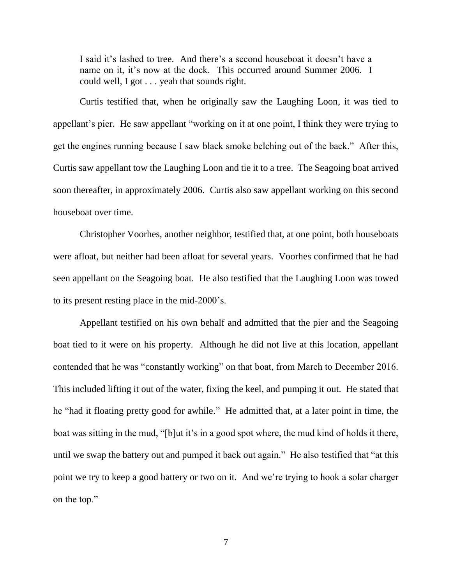I said it's lashed to tree. And there's a second houseboat it doesn't have a name on it, it's now at the dock. This occurred around Summer 2006. I could well, I got . . . yeah that sounds right.

Curtis testified that, when he originally saw the Laughing Loon, it was tied to appellant's pier. He saw appellant "working on it at one point, I think they were trying to get the engines running because I saw black smoke belching out of the back." After this, Curtis saw appellant tow the Laughing Loon and tie it to a tree. The Seagoing boat arrived soon thereafter, in approximately 2006. Curtis also saw appellant working on this second houseboat over time.

Christopher Voorhes, another neighbor, testified that, at one point, both houseboats were afloat, but neither had been afloat for several years. Voorhes confirmed that he had seen appellant on the Seagoing boat. He also testified that the Laughing Loon was towed to its present resting place in the mid-2000's.

Appellant testified on his own behalf and admitted that the pier and the Seagoing boat tied to it were on his property. Although he did not live at this location, appellant contended that he was "constantly working" on that boat, from March to December 2016. This included lifting it out of the water, fixing the keel, and pumping it out. He stated that he "had it floating pretty good for awhile." He admitted that, at a later point in time, the boat was sitting in the mud, "[b]ut it's in a good spot where, the mud kind of holds it there, until we swap the battery out and pumped it back out again." He also testified that "at this point we try to keep a good battery or two on it. And we're trying to hook a solar charger on the top."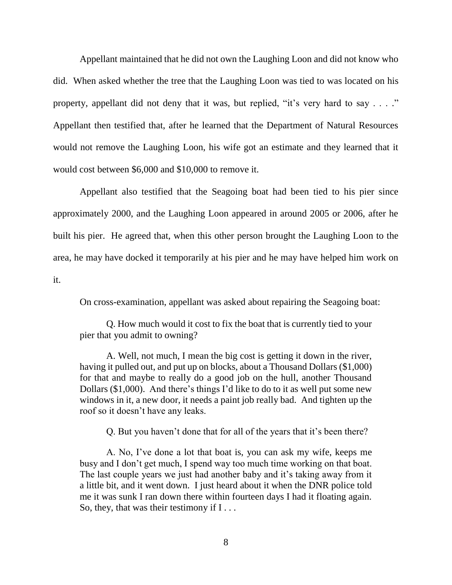Appellant maintained that he did not own the Laughing Loon and did not know who did. When asked whether the tree that the Laughing Loon was tied to was located on his property, appellant did not deny that it was, but replied, "it's very hard to say  $\dots$ " Appellant then testified that, after he learned that the Department of Natural Resources would not remove the Laughing Loon, his wife got an estimate and they learned that it would cost between \$6,000 and \$10,000 to remove it.

Appellant also testified that the Seagoing boat had been tied to his pier since approximately 2000, and the Laughing Loon appeared in around 2005 or 2006, after he built his pier. He agreed that, when this other person brought the Laughing Loon to the area, he may have docked it temporarily at his pier and he may have helped him work on it.

On cross-examination, appellant was asked about repairing the Seagoing boat:

Q. How much would it cost to fix the boat that is currently tied to your pier that you admit to owning?

A. Well, not much, I mean the big cost is getting it down in the river, having it pulled out, and put up on blocks, about a Thousand Dollars (\$1,000) for that and maybe to really do a good job on the hull, another Thousand Dollars (\$1,000). And there's things I'd like to do to it as well put some new windows in it, a new door, it needs a paint job really bad. And tighten up the roof so it doesn't have any leaks.

Q. But you haven't done that for all of the years that it's been there?

A. No, I've done a lot that boat is, you can ask my wife, keeps me busy and I don't get much, I spend way too much time working on that boat. The last couple years we just had another baby and it's taking away from it a little bit, and it went down. I just heard about it when the DNR police told me it was sunk I ran down there within fourteen days I had it floating again. So, they, that was their testimony if  $I \dots$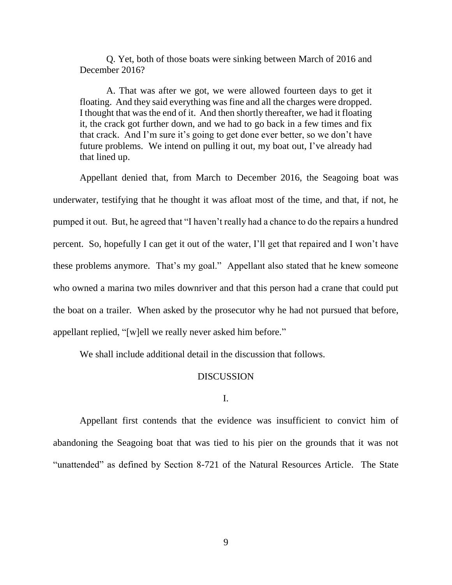Q. Yet, both of those boats were sinking between March of 2016 and December 2016?

A. That was after we got, we were allowed fourteen days to get it floating. And they said everything was fine and all the charges were dropped. I thought that was the end of it. And then shortly thereafter, we had it floating it, the crack got further down, and we had to go back in a few times and fix that crack. And I'm sure it's going to get done ever better, so we don't have future problems. We intend on pulling it out, my boat out, I've already had that lined up.

Appellant denied that, from March to December 2016, the Seagoing boat was underwater, testifying that he thought it was afloat most of the time, and that, if not, he pumped it out. But, he agreed that "I haven't really had a chance to do the repairs a hundred percent. So, hopefully I can get it out of the water, I'll get that repaired and I won't have these problems anymore. That's my goal." Appellant also stated that he knew someone who owned a marina two miles downriver and that this person had a crane that could put the boat on a trailer. When asked by the prosecutor why he had not pursued that before, appellant replied, "[w]ell we really never asked him before."

We shall include additional detail in the discussion that follows.

### DISCUSSION

#### I.

Appellant first contends that the evidence was insufficient to convict him of abandoning the Seagoing boat that was tied to his pier on the grounds that it was not "unattended" as defined by Section 8-721 of the Natural Resources Article. The State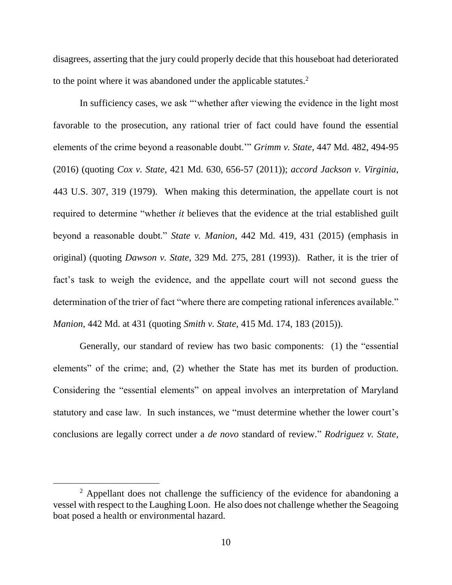disagrees, asserting that the jury could properly decide that this houseboat had deteriorated to the point where it was abandoned under the applicable statutes.<sup>2</sup>

In sufficiency cases, we ask "'whether after viewing the evidence in the light most favorable to the prosecution, any rational trier of fact could have found the essential elements of the crime beyond a reasonable doubt.'" *Grimm v. State*, 447 Md. 482, 494-95 (2016) (quoting *Cox v. State*, 421 Md. 630, 656-57 (2011)); *accord Jackson v. Virginia*, 443 U.S. 307, 319 (1979). When making this determination, the appellate court is not required to determine "whether *it* believes that the evidence at the trial established guilt beyond a reasonable doubt." *State v. Manion*, 442 Md. 419, 431 (2015) (emphasis in original) (quoting *Dawson v. State*, 329 Md. 275, 281 (1993)). Rather, it is the trier of fact's task to weigh the evidence, and the appellate court will not second guess the determination of the trier of fact "where there are competing rational inferences available." *Manion*, 442 Md. at 431 (quoting *Smith v. State*, 415 Md. 174, 183 (2015)).

Generally, our standard of review has two basic components: (1) the "essential elements" of the crime; and, (2) whether the State has met its burden of production. Considering the "essential elements" on appeal involves an interpretation of Maryland statutory and case law. In such instances, we "must determine whether the lower court's conclusions are legally correct under a *de novo* standard of review." *Rodriguez v. State*,

<sup>&</sup>lt;sup>2</sup> Appellant does not challenge the sufficiency of the evidence for abandoning a vessel with respect to the Laughing Loon. He also does not challenge whether the Seagoing boat posed a health or environmental hazard.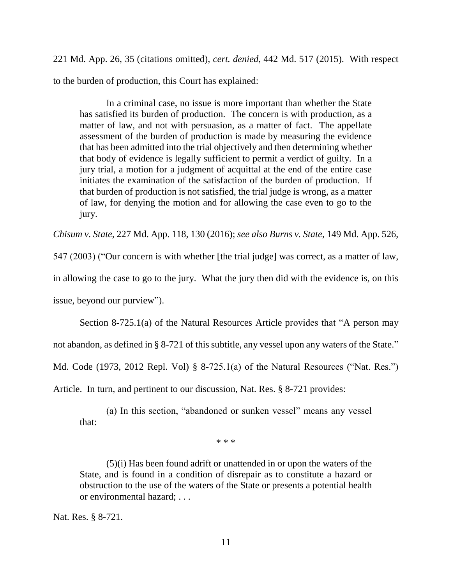221 Md. App. 26, 35 (citations omitted), *cert. denied*, 442 Md. 517 (2015). With respect to the burden of production, this Court has explained:

In a criminal case, no issue is more important than whether the State has satisfied its burden of production. The concern is with production, as a matter of law, and not with persuasion, as a matter of fact. The appellate assessment of the burden of production is made by measuring the evidence that has been admitted into the trial objectively and then determining whether that body of evidence is legally sufficient to permit a verdict of guilty. In a jury trial, a motion for a judgment of acquittal at the end of the entire case initiates the examination of the satisfaction of the burden of production. If that burden of production is not satisfied, the trial judge is wrong, as a matter of law, for denying the motion and for allowing the case even to go to the jury.

*Chisum v. State*, 227 Md. App. 118, 130 (2016); *see also Burns v. State*, 149 Md. App. 526,

547 (2003) ("Our concern is with whether [the trial judge] was correct, as a matter of law, in allowing the case to go to the jury. What the jury then did with the evidence is, on this

issue, beyond our purview").

Section 8-725.1(a) of the Natural Resources Article provides that "A person may not abandon, as defined in § 8-721 of this subtitle, any vessel upon any waters of the State." Md. Code (1973, 2012 Repl. Vol) § 8-725.1(a) of the Natural Resources ("Nat. Res.") Article. In turn, and pertinent to our discussion, Nat. Res. § 8-721 provides:

(a) In this section, "abandoned or sunken vessel" means any vessel that:

\* \* \*

(5)(i) Has been found adrift or unattended in or upon the waters of the State, and is found in a condition of disrepair as to constitute a hazard or obstruction to the use of the waters of the State or presents a potential health or environmental hazard; . . .

Nat. Res. § 8-721.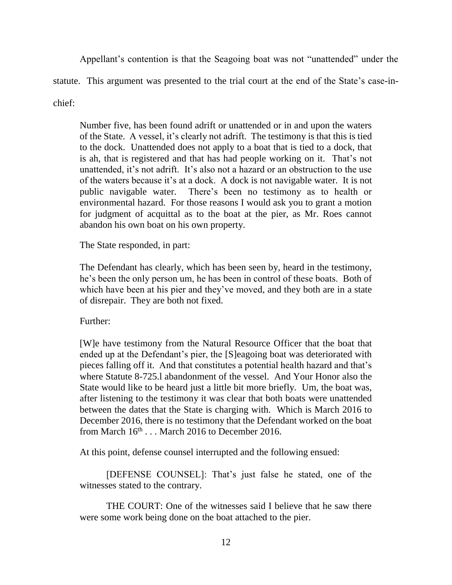Appellant's contention is that the Seagoing boat was not "unattended" under the statute. This argument was presented to the trial court at the end of the State's case-inchief:

Number five, has been found adrift or unattended or in and upon the waters of the State. A vessel, it's clearly not adrift. The testimony is that this is tied to the dock. Unattended does not apply to a boat that is tied to a dock, that is ah, that is registered and that has had people working on it. That's not unattended, it's not adrift. It's also not a hazard or an obstruction to the use of the waters because it's at a dock. A dock is not navigable water. It is not public navigable water. There's been no testimony as to health or environmental hazard. For those reasons I would ask you to grant a motion for judgment of acquittal as to the boat at the pier, as Mr. Roes cannot abandon his own boat on his own property.

The State responded, in part:

The Defendant has clearly, which has been seen by, heard in the testimony, he's been the only person um, he has been in control of these boats. Both of which have been at his pier and they've moved, and they both are in a state of disrepair. They are both not fixed.

Further:

[W]e have testimony from the Natural Resource Officer that the boat that ended up at the Defendant's pier, the [S]eagoing boat was deteriorated with pieces falling off it. And that constitutes a potential health hazard and that's where Statute 8-725.l abandonment of the vessel. And Your Honor also the State would like to be heard just a little bit more briefly. Um, the boat was, after listening to the testimony it was clear that both boats were unattended between the dates that the State is charging with. Which is March 2016 to December 2016, there is no testimony that the Defendant worked on the boat from March  $16<sup>th</sup>$ ... March 2016 to December 2016.

At this point, defense counsel interrupted and the following ensued:

[DEFENSE COUNSEL]: That's just false he stated, one of the witnesses stated to the contrary.

THE COURT: One of the witnesses said I believe that he saw there were some work being done on the boat attached to the pier.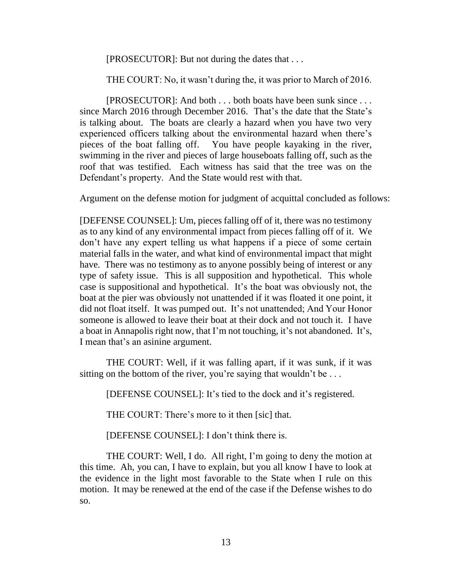[PROSECUTOR]: But not during the dates that . . .

THE COURT: No, it wasn't during the, it was prior to March of 2016.

[PROSECUTOR]: And both . . . both boats have been sunk since . . . since March 2016 through December 2016. That's the date that the State's is talking about. The boats are clearly a hazard when you have two very experienced officers talking about the environmental hazard when there's pieces of the boat falling off. You have people kayaking in the river, swimming in the river and pieces of large houseboats falling off, such as the roof that was testified. Each witness has said that the tree was on the Defendant's property. And the State would rest with that.

Argument on the defense motion for judgment of acquittal concluded as follows:

[DEFENSE COUNSEL]: Um, pieces falling off of it, there was no testimony as to any kind of any environmental impact from pieces falling off of it. We don't have any expert telling us what happens if a piece of some certain material falls in the water, and what kind of environmental impact that might have. There was no testimony as to anyone possibly being of interest or any type of safety issue. This is all supposition and hypothetical. This whole case is suppositional and hypothetical. It's the boat was obviously not, the boat at the pier was obviously not unattended if it was floated it one point, it did not float itself. It was pumped out. It's not unattended; And Your Honor someone is allowed to leave their boat at their dock and not touch it. I have a boat in Annapolis right now, that I'm not touching, it's not abandoned. It's, I mean that's an asinine argument.

THE COURT: Well, if it was falling apart, if it was sunk, if it was sitting on the bottom of the river, you're saying that wouldn't be ...

[DEFENSE COUNSEL]: It's tied to the dock and it's registered.

THE COURT: There's more to it then [sic] that.

[DEFENSE COUNSEL]: I don't think there is.

THE COURT: Well, I do. All right, I'm going to deny the motion at this time. Ah, you can, I have to explain, but you all know I have to look at the evidence in the light most favorable to the State when I rule on this motion. It may be renewed at the end of the case if the Defense wishes to do so.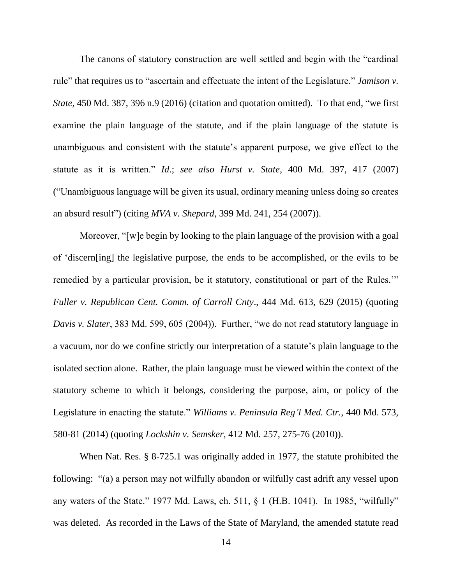The canons of statutory construction are well settled and begin with the "cardinal rule" that requires us to "ascertain and effectuate the intent of the Legislature." *Jamison v. State*, 450 Md. 387, 396 n.9 (2016) (citation and quotation omitted). To that end, "we first examine the plain language of the statute, and if the plain language of the statute is unambiguous and consistent with the statute's apparent purpose, we give effect to the statute as it is written." *Id*.; *see also Hurst v. State*, 400 Md. 397, 417 (2007) ("Unambiguous language will be given its usual, ordinary meaning unless doing so creates an absurd result") (citing *MVA v. Shepard*, 399 Md. 241, 254 (2007)).

Moreover, "[w]e begin by looking to the plain language of the provision with a goal of 'discern[ing] the legislative purpose, the ends to be accomplished, or the evils to be remedied by a particular provision, be it statutory, constitutional or part of the Rules.'" *Fuller v. Republican Cent. Comm. of Carroll Cnty*., 444 Md. 613, 629 (2015) (quoting *Davis v. Slater*, 383 Md. 599, 605 (2004)). Further, "we do not read statutory language in a vacuum, nor do we confine strictly our interpretation of a statute's plain language to the isolated section alone. Rather, the plain language must be viewed within the context of the statutory scheme to which it belongs, considering the purpose, aim, or policy of the Legislature in enacting the statute." *Williams v. Peninsula Reg'l Med. Ctr.*, 440 Md. 573, 580-81 (2014) (quoting *Lockshin v. Semsker*, 412 Md. 257, 275-76 (2010)).

When Nat. Res. § 8-725.1 was originally added in 1977, the statute prohibited the following: "(a) a person may not wilfully abandon or wilfully cast adrift any vessel upon any waters of the State." 1977 Md. Laws, ch. 511, § 1 (H.B. 1041). In 1985, "wilfully" was deleted. As recorded in the Laws of the State of Maryland, the amended statute read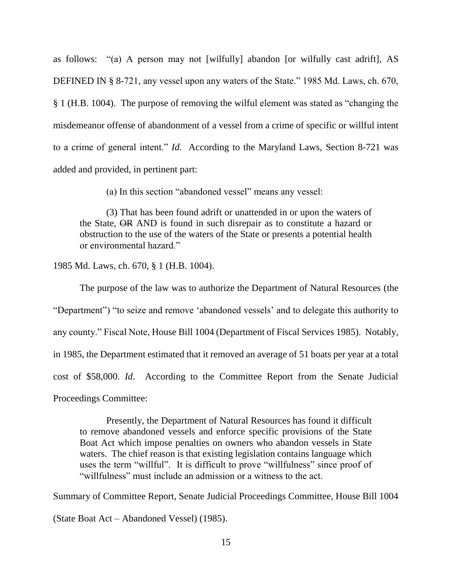as follows: "(a) A person may not [wilfully] abandon [or wilfully cast adrift], AS DEFINED IN § 8-721, any vessel upon any waters of the State." 1985 Md. Laws, ch. 670, § 1 (H.B. 1004). The purpose of removing the wilful element was stated as "changing the misdemeanor offense of abandonment of a vessel from a crime of specific or willful intent to a crime of general intent." *Id*. According to the Maryland Laws, Section 8-721 was added and provided, in pertinent part:

(a) In this section "abandoned vessel" means any vessel:

(3) That has been found adrift or unattended in or upon the waters of the State, OR AND is found in such disrepair as to constitute a hazard or obstruction to the use of the waters of the State or presents a potential health or environmental hazard."

1985 Md. Laws, ch. 670, § 1 (H.B. 1004).

The purpose of the law was to authorize the Department of Natural Resources (the "Department") "to seize and remove 'abandoned vessels' and to delegate this authority to any county." Fiscal Note, House Bill 1004 (Department of Fiscal Services 1985). Notably, in 1985, the Department estimated that it removed an average of 51 boats per year at a total cost of \$58,000. *Id*. According to the Committee Report from the Senate Judicial

Proceedings Committee:

Presently, the Department of Natural Resources has found it difficult to remove abandoned vessels and enforce specific provisions of the State Boat Act which impose penalties on owners who abandon vessels in State waters. The chief reason is that existing legislation contains language which uses the term "willful". It is difficult to prove "willfulness" since proof of "willfulness" must include an admission or a witness to the act.

Summary of Committee Report, Senate Judicial Proceedings Committee, House Bill 1004

(State Boat Act – Abandoned Vessel) (1985).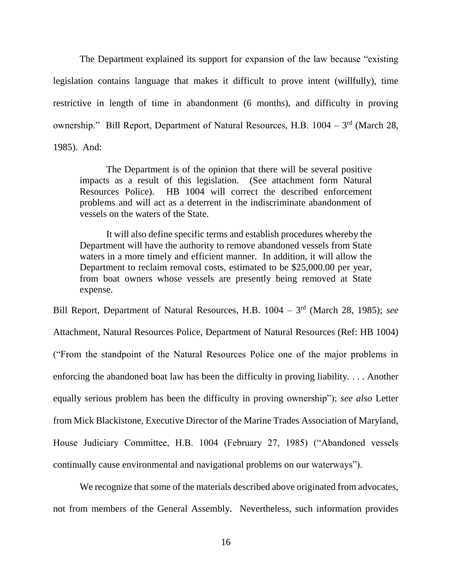The Department explained its support for expansion of the law because "existing legislation contains language that makes it difficult to prove intent (willfully), time restrictive in length of time in abandonment (6 months), and difficulty in proving ownership." Bill Report, Department of Natural Resources, H.B. 1004 – 3<sup>rd</sup> (March 28, 1985). And:

The Department is of the opinion that there will be several positive impacts as a result of this legislation. (See attachment form Natural Resources Police). HB 1004 will correct the described enforcement problems and will act as a deterrent in the indiscriminate abandonment of vessels on the waters of the State.

It will also define specific terms and establish procedures whereby the Department will have the authority to remove abandoned vessels from State waters in a more timely and efficient manner. In addition, it will allow the Department to reclaim removal costs, estimated to be \$25,000.00 per year, from boat owners whose vessels are presently being removed at State expense.

Bill Report, Department of Natural Resources, H.B. 1004 – 3<sup>rd</sup> (March 28, 1985); *see* Attachment, Natural Resources Police, Department of Natural Resources (Ref: HB 1004) ("From the standpoint of the Natural Resources Police one of the major problems in enforcing the abandoned boat law has been the difficulty in proving liability. . . . Another equally serious problem has been the difficulty in proving ownership"); *see also* Letter from Mick Blackistone, Executive Director of the Marine Trades Association of Maryland, House Judiciary Committee, H.B. 1004 (February 27, 1985) ("Abandoned vessels continually cause environmental and navigational problems on our waterways").

We recognize that some of the materials described above originated from advocates, not from members of the General Assembly. Nevertheless, such information provides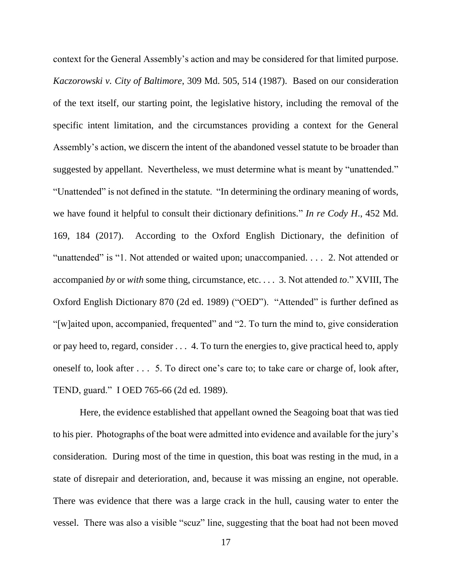context for the General Assembly's action and may be considered for that limited purpose. *Kaczorowski v. City of Baltimore*, 309 Md. 505, 514 (1987). Based on our consideration of the text itself, our starting point, the legislative history, including the removal of the specific intent limitation, and the circumstances providing a context for the General Assembly's action, we discern the intent of the abandoned vessel statute to be broader than suggested by appellant. Nevertheless, we must determine what is meant by "unattended." "Unattended" is not defined in the statute. "In determining the ordinary meaning of words, we have found it helpful to consult their dictionary definitions." *In re Cody H*., 452 Md. 169, 184 (2017). According to the Oxford English Dictionary, the definition of "unattended" is "1. Not attended or waited upon; unaccompanied. . . . 2. Not attended or accompanied *by* or *with* some thing, circumstance, etc. . . . 3. Not attended *to*." XVIII, The Oxford English Dictionary 870 (2d ed. 1989) ("OED"). "Attended" is further defined as "[w]aited upon, accompanied, frequented" and "2. To turn the mind to, give consideration or pay heed to, regard, consider . . . 4. To turn the energies to, give practical heed to, apply oneself to, look after . . . 5. To direct one's care to; to take care or charge of, look after, TEND, guard." I OED 765-66 (2d ed. 1989).

Here, the evidence established that appellant owned the Seagoing boat that was tied to his pier. Photographs of the boat were admitted into evidence and available for the jury's consideration. During most of the time in question, this boat was resting in the mud, in a state of disrepair and deterioration, and, because it was missing an engine, not operable. There was evidence that there was a large crack in the hull, causing water to enter the vessel. There was also a visible "scuz" line, suggesting that the boat had not been moved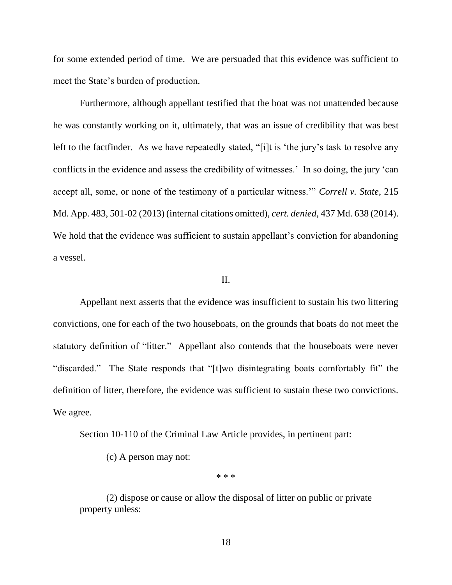for some extended period of time. We are persuaded that this evidence was sufficient to meet the State's burden of production.

Furthermore, although appellant testified that the boat was not unattended because he was constantly working on it, ultimately, that was an issue of credibility that was best left to the factfinder. As we have repeatedly stated, "[i]t is 'the jury's task to resolve any conflicts in the evidence and assess the credibility of witnesses.' In so doing, the jury 'can accept all, some, or none of the testimony of a particular witness.'" *Correll v. State*, 215 Md. App. 483, 501-02 (2013) (internal citations omitted), *cert. denied*, 437 Md. 638 (2014). We hold that the evidence was sufficient to sustain appellant's conviction for abandoning a vessel.

#### II.

Appellant next asserts that the evidence was insufficient to sustain his two littering convictions, one for each of the two houseboats, on the grounds that boats do not meet the statutory definition of "litter." Appellant also contends that the houseboats were never "discarded." The State responds that "[t]wo disintegrating boats comfortably fit" the definition of litter, therefore, the evidence was sufficient to sustain these two convictions. We agree.

Section 10-110 of the Criminal Law Article provides, in pertinent part:

(c) A person may not:

\* \* \*

(2) dispose or cause or allow the disposal of litter on public or private property unless: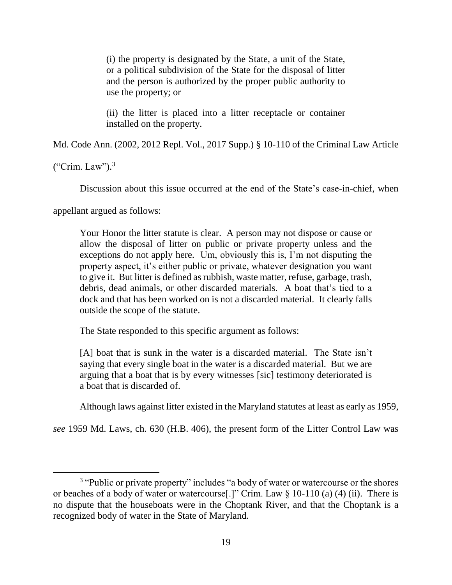(i) the property is designated by the State, a unit of the State, or a political subdivision of the State for the disposal of litter and the person is authorized by the proper public authority to use the property; or

(ii) the litter is placed into a litter receptacle or container installed on the property.

Md. Code Ann. (2002, 2012 Repl. Vol., 2017 Supp.) § 10-110 of the Criminal Law Article

("Crim. Law"). $3$ 

Discussion about this issue occurred at the end of the State's case-in-chief, when

appellant argued as follows:

Your Honor the litter statute is clear. A person may not dispose or cause or allow the disposal of litter on public or private property unless and the exceptions do not apply here. Um, obviously this is, I'm not disputing the property aspect, it's either public or private, whatever designation you want to give it. But litter is defined as rubbish, waste matter, refuse, garbage, trash, debris, dead animals, or other discarded materials. A boat that's tied to a dock and that has been worked on is not a discarded material. It clearly falls outside the scope of the statute.

The State responded to this specific argument as follows:

[A] boat that is sunk in the water is a discarded material. The State isn't saying that every single boat in the water is a discarded material. But we are arguing that a boat that is by every witnesses [sic] testimony deteriorated is a boat that is discarded of.

Although laws against litter existed in the Maryland statutes at least as early as 1959,

*see* 1959 Md. Laws, ch. 630 (H.B. 406), the present form of the Litter Control Law was

<sup>&</sup>lt;sup>3</sup> "Public or private property" includes "a body of water or watercourse or the shores or beaches of a body of water or watercourse[.]" Crim. Law § 10-110 (a) (4) (ii). There is no dispute that the houseboats were in the Choptank River, and that the Choptank is a recognized body of water in the State of Maryland.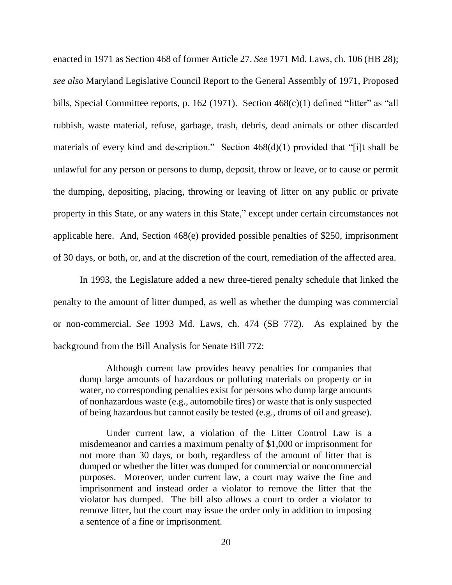enacted in 1971 as Section 468 of former Article 27. *See* 1971 Md. Laws, ch. 106 (HB 28); *see also* Maryland Legislative Council Report to the General Assembly of 1971, Proposed bills, Special Committee reports, p. 162 (1971). Section 468(c)(1) defined "litter" as "all rubbish, waste material, refuse, garbage, trash, debris, dead animals or other discarded materials of every kind and description." Section  $468(d)(1)$  provided that "[i]t shall be unlawful for any person or persons to dump, deposit, throw or leave, or to cause or permit the dumping, depositing, placing, throwing or leaving of litter on any public or private property in this State, or any waters in this State," except under certain circumstances not applicable here. And, Section 468(e) provided possible penalties of \$250, imprisonment of 30 days, or both, or, and at the discretion of the court, remediation of the affected area.

In 1993, the Legislature added a new three-tiered penalty schedule that linked the penalty to the amount of litter dumped, as well as whether the dumping was commercial or non-commercial. *See* 1993 Md. Laws, ch. 474 (SB 772). As explained by the background from the Bill Analysis for Senate Bill 772:

Although current law provides heavy penalties for companies that dump large amounts of hazardous or polluting materials on property or in water, no corresponding penalties exist for persons who dump large amounts of nonhazardous waste (e.g., automobile tires) or waste that is only suspected of being hazardous but cannot easily be tested (e.g., drums of oil and grease).

Under current law, a violation of the Litter Control Law is a misdemeanor and carries a maximum penalty of \$1,000 or imprisonment for not more than 30 days, or both, regardless of the amount of litter that is dumped or whether the litter was dumped for commercial or noncommercial purposes. Moreover, under current law, a court may waive the fine and imprisonment and instead order a violator to remove the litter that the violator has dumped. The bill also allows a court to order a violator to remove litter, but the court may issue the order only in addition to imposing a sentence of a fine or imprisonment.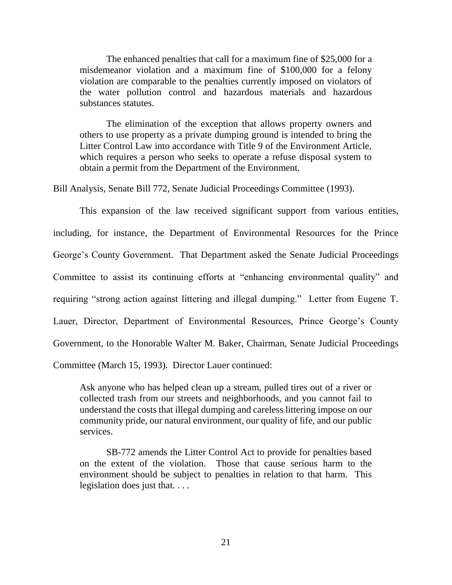The enhanced penalties that call for a maximum fine of \$25,000 for a misdemeanor violation and a maximum fine of \$100,000 for a felony violation are comparable to the penalties currently imposed on violators of the water pollution control and hazardous materials and hazardous substances statutes.

The elimination of the exception that allows property owners and others to use property as a private dumping ground is intended to bring the Litter Control Law into accordance with Title 9 of the Environment Article, which requires a person who seeks to operate a refuse disposal system to obtain a permit from the Department of the Environment.

Bill Analysis, Senate Bill 772, Senate Judicial Proceedings Committee (1993).

This expansion of the law received significant support from various entities, including, for instance, the Department of Environmental Resources for the Prince George's County Government. That Department asked the Senate Judicial Proceedings Committee to assist its continuing efforts at "enhancing environmental quality" and requiring "strong action against littering and illegal dumping." Letter from Eugene T. Lauer, Director, Department of Environmental Resources, Prince George's County Government, to the Honorable Walter M. Baker, Chairman, Senate Judicial Proceedings Committee (March 15, 1993). Director Lauer continued:

Ask anyone who has helped clean up a stream, pulled tires out of a river or collected trash from our streets and neighborhoods, and you cannot fail to understand the costs that illegal dumping and careless littering impose on our community pride, our natural environment, our quality of life, and our public services.

SB-772 amends the Litter Control Act to provide for penalties based on the extent of the violation. Those that cause serious harm to the environment should be subject to penalties in relation to that harm. This legislation does just that. . . .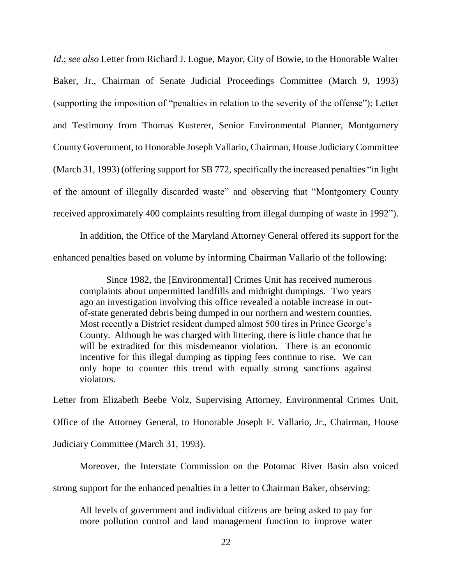*Id*.; *see also* Letter from Richard J. Logue, Mayor, City of Bowie, to the Honorable Walter Baker, Jr., Chairman of Senate Judicial Proceedings Committee (March 9, 1993) (supporting the imposition of "penalties in relation to the severity of the offense"); Letter and Testimony from Thomas Kusterer, Senior Environmental Planner, Montgomery County Government, to Honorable Joseph Vallario, Chairman, House Judiciary Committee (March 31, 1993) (offering support for SB 772, specifically the increased penalties "in light of the amount of illegally discarded waste" and observing that "Montgomery County received approximately 400 complaints resulting from illegal dumping of waste in 1992").

In addition, the Office of the Maryland Attorney General offered its support for the enhanced penalties based on volume by informing Chairman Vallario of the following:

Since 1982, the [Environmental] Crimes Unit has received numerous complaints about unpermitted landfills and midnight dumpings. Two years ago an investigation involving this office revealed a notable increase in outof-state generated debris being dumped in our northern and western counties. Most recently a District resident dumped almost 500 tires in Prince George's County. Although he was charged with littering, there is little chance that he will be extradited for this misdemeanor violation. There is an economic incentive for this illegal dumping as tipping fees continue to rise. We can only hope to counter this trend with equally strong sanctions against violators.

Letter from Elizabeth Beebe Volz, Supervising Attorney, Environmental Crimes Unit, Office of the Attorney General, to Honorable Joseph F. Vallario, Jr., Chairman, House Judiciary Committee (March 31, 1993).

Moreover, the Interstate Commission on the Potomac River Basin also voiced

strong support for the enhanced penalties in a letter to Chairman Baker, observing:

All levels of government and individual citizens are being asked to pay for more pollution control and land management function to improve water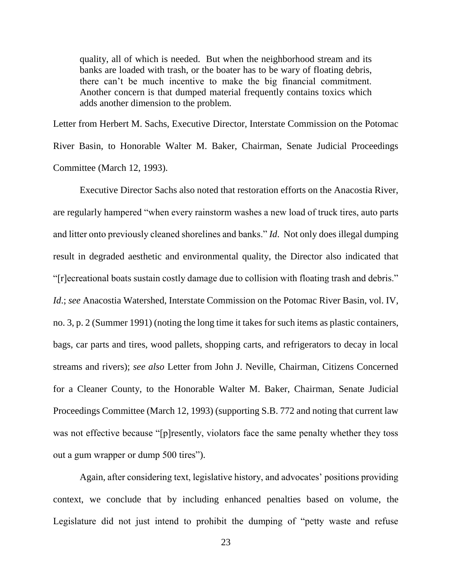quality, all of which is needed. But when the neighborhood stream and its banks are loaded with trash, or the boater has to be wary of floating debris, there can't be much incentive to make the big financial commitment. Another concern is that dumped material frequently contains toxics which adds another dimension to the problem.

Letter from Herbert M. Sachs, Executive Director, Interstate Commission on the Potomac River Basin, to Honorable Walter M. Baker, Chairman, Senate Judicial Proceedings Committee (March 12, 1993).

Executive Director Sachs also noted that restoration efforts on the Anacostia River, are regularly hampered "when every rainstorm washes a new load of truck tires, auto parts and litter onto previously cleaned shorelines and banks." *Id*. Not only does illegal dumping result in degraded aesthetic and environmental quality, the Director also indicated that "[r]ecreational boats sustain costly damage due to collision with floating trash and debris." *Id*.; *see* Anacostia Watershed, Interstate Commission on the Potomac River Basin, vol. IV, no. 3, p. 2 (Summer 1991) (noting the long time it takes for such items as plastic containers, bags, car parts and tires, wood pallets, shopping carts, and refrigerators to decay in local streams and rivers); *see also* Letter from John J. Neville, Chairman, Citizens Concerned for a Cleaner County, to the Honorable Walter M. Baker, Chairman, Senate Judicial Proceedings Committee (March 12, 1993) (supporting S.B. 772 and noting that current law was not effective because "[p]resently, violators face the same penalty whether they toss out a gum wrapper or dump 500 tires").

Again, after considering text, legislative history, and advocates' positions providing context, we conclude that by including enhanced penalties based on volume, the Legislature did not just intend to prohibit the dumping of "petty waste and refuse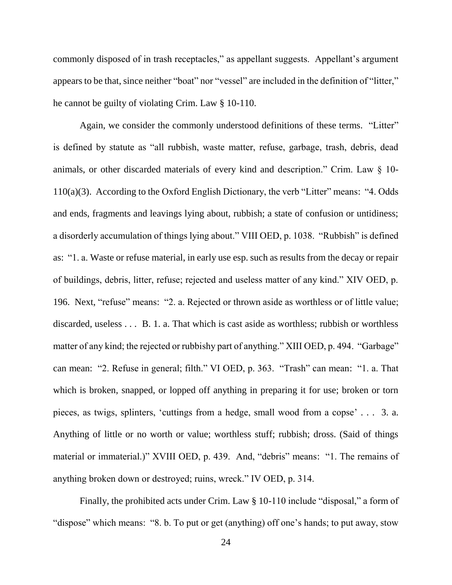commonly disposed of in trash receptacles," as appellant suggests. Appellant's argument appears to be that, since neither "boat" nor "vessel" are included in the definition of "litter," he cannot be guilty of violating Crim. Law § 10-110.

Again, we consider the commonly understood definitions of these terms. "Litter" is defined by statute as "all rubbish, waste matter, refuse, garbage, trash, debris, dead animals, or other discarded materials of every kind and description." Crim. Law § 10- 110(a)(3). According to the Oxford English Dictionary, the verb "Litter" means: "4. Odds and ends, fragments and leavings lying about, rubbish; a state of confusion or untidiness; a disorderly accumulation of things lying about." VIII OED, p. 1038. "Rubbish" is defined as: "1. a. Waste or refuse material, in early use esp. such as results from the decay or repair of buildings, debris, litter, refuse; rejected and useless matter of any kind." XIV OED, p. 196. Next, "refuse" means: "2. a. Rejected or thrown aside as worthless or of little value; discarded, useless . . . B. 1. a. That which is cast aside as worthless; rubbish or worthless matter of any kind; the rejected or rubbishy part of anything." XIII OED, p. 494. "Garbage" can mean: "2. Refuse in general; filth." VI OED, p. 363. "Trash" can mean: "1. a. That which is broken, snapped, or lopped off anything in preparing it for use; broken or torn pieces, as twigs, splinters, 'cuttings from a hedge, small wood from a copse' . . . 3. a. Anything of little or no worth or value; worthless stuff; rubbish; dross. (Said of things material or immaterial.)" XVIII OED, p. 439. And, "debris" means: "1. The remains of anything broken down or destroyed; ruins, wreck." IV OED, p. 314.

Finally, the prohibited acts under Crim. Law § 10-110 include "disposal," a form of "dispose" which means: "8. b. To put or get (anything) off one's hands; to put away, stow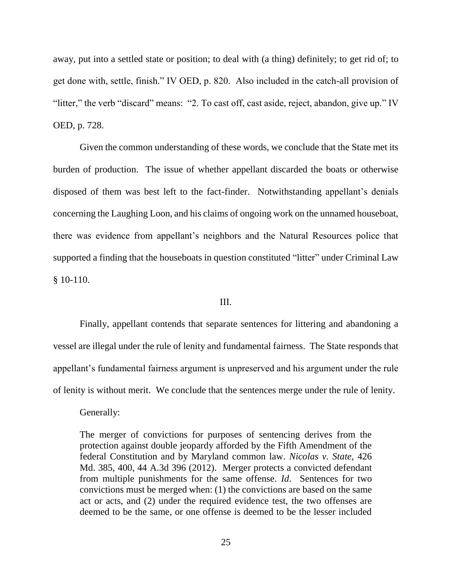away, put into a settled state or position; to deal with (a thing) definitely; to get rid of; to get done with, settle, finish." IV OED, p. 820. Also included in the catch-all provision of "litter," the verb "discard" means: "2. To cast off, cast aside, reject, abandon, give up." IV OED, p. 728.

Given the common understanding of these words, we conclude that the State met its burden of production. The issue of whether appellant discarded the boats or otherwise disposed of them was best left to the fact-finder. Notwithstanding appellant's denials concerning the Laughing Loon, and his claims of ongoing work on the unnamed houseboat, there was evidence from appellant's neighbors and the Natural Resources police that supported a finding that the houseboats in question constituted "litter" under Criminal Law § 10-110.

### III.

Finally, appellant contends that separate sentences for littering and abandoning a vessel are illegal under the rule of lenity and fundamental fairness. The State responds that appellant's fundamental fairness argument is unpreserved and his argument under the rule of lenity is without merit. We conclude that the sentences merge under the rule of lenity.

Generally:

The merger of convictions for purposes of sentencing derives from the protection against double jeopardy afforded by the Fifth Amendment of the federal Constitution and by Maryland common law. *Nicolas v. State*, 426 Md. 385, 400, 44 A.3d 396 (2012). Merger protects a convicted defendant from multiple punishments for the same offense. *Id*. Sentences for two convictions must be merged when: (1) the convictions are based on the same act or acts, and (2) under the required evidence test, the two offenses are deemed to be the same, or one offense is deemed to be the lesser included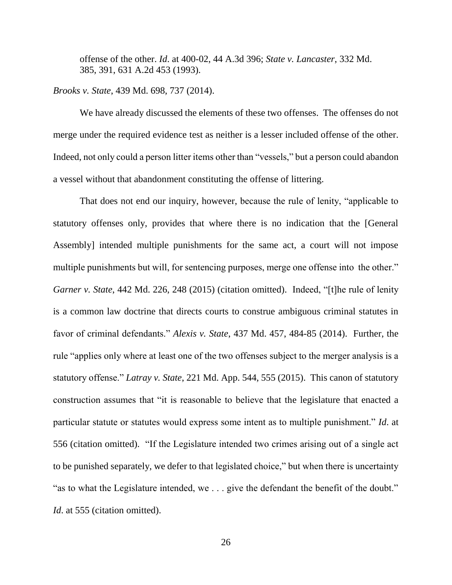offense of the other. *Id*. at 400-02, 44 A.3d 396; *State v. Lancaster*, 332 Md. 385, 391, 631 A.2d 453 (1993).

### *Brooks v. State*, 439 Md. 698, 737 (2014).

We have already discussed the elements of these two offenses. The offenses do not merge under the required evidence test as neither is a lesser included offense of the other. Indeed, not only could a person litter items other than "vessels," but a person could abandon a vessel without that abandonment constituting the offense of littering.

That does not end our inquiry, however, because the rule of lenity, "applicable to statutory offenses only, provides that where there is no indication that the [General Assembly] intended multiple punishments for the same act, a court will not impose multiple punishments but will, for sentencing purposes, merge one offense into the other." *Garner v. State*, 442 Md. 226, 248 (2015) (citation omitted). Indeed, "[t]he rule of lenity is a common law doctrine that directs courts to construe ambiguous criminal statutes in favor of criminal defendants." *Alexis v. State*, 437 Md. 457, 484-85 (2014). Further, the rule "applies only where at least one of the two offenses subject to the merger analysis is a statutory offense." *Latray v. State*, 221 Md. App. 544, 555 (2015). This canon of statutory construction assumes that "it is reasonable to believe that the legislature that enacted a particular statute or statutes would express some intent as to multiple punishment." *Id*. at 556 (citation omitted). "If the Legislature intended two crimes arising out of a single act to be punished separately, we defer to that legislated choice," but when there is uncertainty "as to what the Legislature intended, we . . . give the defendant the benefit of the doubt." *Id.* at 555 (citation omitted).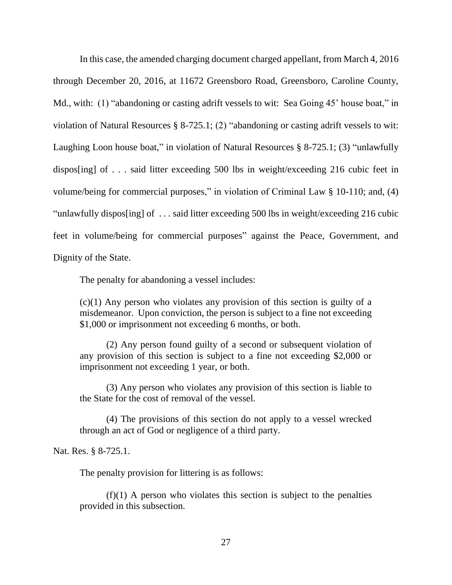In this case, the amended charging document charged appellant, from March 4, 2016 through December 20, 2016, at 11672 Greensboro Road, Greensboro, Caroline County, Md., with: (1) "abandoning or casting adrift vessels to wit: Sea Going 45' house boat," in violation of Natural Resources § 8-725.1; (2) "abandoning or casting adrift vessels to wit: Laughing Loon house boat," in violation of Natural Resources § 8-725.1; (3) "unlawfully dispos[ing] of . . . said litter exceeding 500 lbs in weight/exceeding 216 cubic feet in volume/being for commercial purposes," in violation of Criminal Law § 10-110; and, (4) "unlawfully dispos[ing] of . . . said litter exceeding 500 lbs in weight/exceeding 216 cubic feet in volume/being for commercial purposes" against the Peace, Government, and Dignity of the State.

The penalty for abandoning a vessel includes:

 $(c)(1)$  Any person who violates any provision of this section is guilty of a misdemeanor. Upon conviction, the person is subject to a fine not exceeding \$1,000 or imprisonment not exceeding 6 months, or both.

(2) Any person found guilty of a second or subsequent violation of any provision of this section is subject to a fine not exceeding \$2,000 or imprisonment not exceeding 1 year, or both.

(3) Any person who violates any provision of this section is liable to the State for the cost of removal of the vessel.

(4) The provisions of this section do not apply to a vessel wrecked through an act of God or negligence of a third party.

Nat. Res. § 8-725.1.

The penalty provision for littering is as follows:

 $(f)(1)$  A person who violates this section is subject to the penalties provided in this subsection.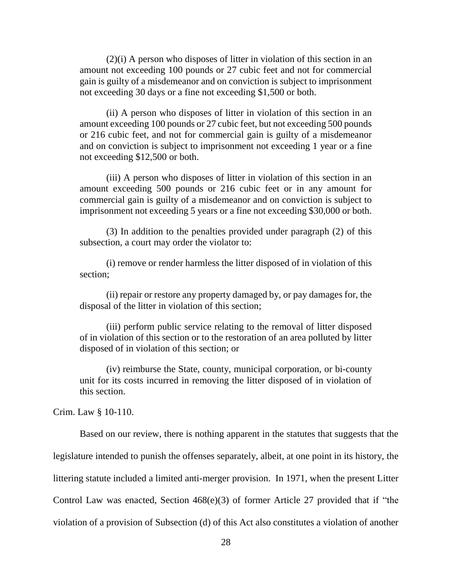(2)(i) A person who disposes of litter in violation of this section in an amount not exceeding 100 pounds or 27 cubic feet and not for commercial gain is guilty of a misdemeanor and on conviction is subject to imprisonment not exceeding 30 days or a fine not exceeding \$1,500 or both.

(ii) A person who disposes of litter in violation of this section in an amount exceeding 100 pounds or 27 cubic feet, but not exceeding 500 pounds or 216 cubic feet, and not for commercial gain is guilty of a misdemeanor and on conviction is subject to imprisonment not exceeding 1 year or a fine not exceeding \$12,500 or both.

(iii) A person who disposes of litter in violation of this section in an amount exceeding 500 pounds or 216 cubic feet or in any amount for commercial gain is guilty of a misdemeanor and on conviction is subject to imprisonment not exceeding 5 years or a fine not exceeding \$30,000 or both.

(3) In addition to the penalties provided under paragraph (2) of this subsection, a court may order the violator to:

(i) remove or render harmless the litter disposed of in violation of this section;

(ii) repair or restore any property damaged by, or pay damages for, the disposal of the litter in violation of this section;

(iii) perform public service relating to the removal of litter disposed of in violation of this section or to the restoration of an area polluted by litter disposed of in violation of this section; or

(iv) reimburse the State, county, municipal corporation, or bi-county unit for its costs incurred in removing the litter disposed of in violation of this section.

Crim. Law § 10-110.

Based on our review, there is nothing apparent in the statutes that suggests that the legislature intended to punish the offenses separately, albeit, at one point in its history, the littering statute included a limited anti-merger provision. In 1971, when the present Litter Control Law was enacted, Section 468(e)(3) of former Article 27 provided that if "the violation of a provision of Subsection (d) of this Act also constitutes a violation of another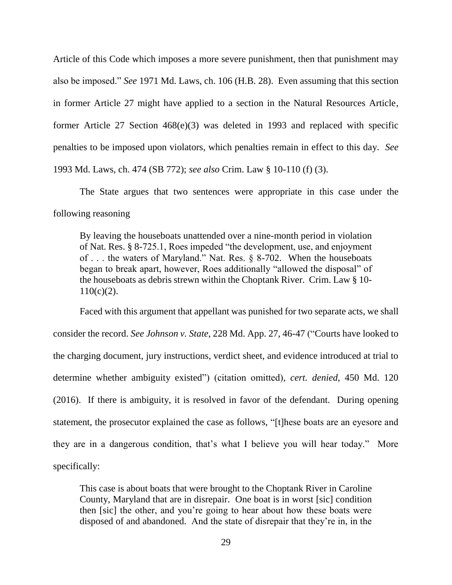Article of this Code which imposes a more severe punishment, then that punishment may also be imposed." *See* 1971 Md. Laws, ch. 106 (H.B. 28). Even assuming that this section in former Article 27 might have applied to a section in the Natural Resources Article, former Article 27 Section 468(e)(3) was deleted in 1993 and replaced with specific penalties to be imposed upon violators, which penalties remain in effect to this day. *See* 1993 Md. Laws, ch. 474 (SB 772); *see also* Crim. Law § 10-110 (f) (3).

The State argues that two sentences were appropriate in this case under the following reasoning

By leaving the houseboats unattended over a nine-month period in violation of Nat. Res. § 8-725.1, Roes impeded "the development, use, and enjoyment of . . . the waters of Maryland." Nat. Res. § 8-702. When the houseboats began to break apart, however, Roes additionally "allowed the disposal" of the houseboats as debris strewn within the Choptank River. Crim. Law § 10-  $110(c)(2)$ .

Faced with this argument that appellant was punished for two separate acts, we shall consider the record. *See Johnson v. State*, 228 Md. App. 27, 46-47 ("Courts have looked to the charging document, jury instructions, verdict sheet, and evidence introduced at trial to determine whether ambiguity existed") (citation omitted), *cert. denied*, 450 Md. 120 (2016). If there is ambiguity, it is resolved in favor of the defendant. During opening statement, the prosecutor explained the case as follows, "[t]hese boats are an eyesore and they are in a dangerous condition, that's what I believe you will hear today." More specifically:

This case is about boats that were brought to the Choptank River in Caroline County, Maryland that are in disrepair. One boat is in worst [sic] condition then [sic] the other, and you're going to hear about how these boats were disposed of and abandoned. And the state of disrepair that they're in, in the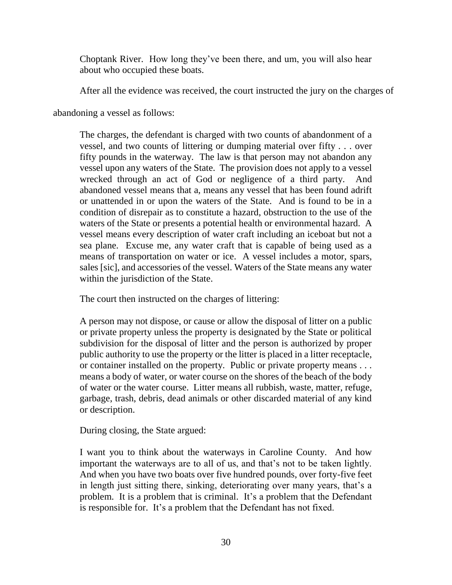Choptank River. How long they've been there, and um, you will also hear about who occupied these boats.

After all the evidence was received, the court instructed the jury on the charges of

abandoning a vessel as follows:

The charges, the defendant is charged with two counts of abandonment of a vessel, and two counts of littering or dumping material over fifty . . . over fifty pounds in the waterway. The law is that person may not abandon any vessel upon any waters of the State. The provision does not apply to a vessel wrecked through an act of God or negligence of a third party. And abandoned vessel means that a, means any vessel that has been found adrift or unattended in or upon the waters of the State. And is found to be in a condition of disrepair as to constitute a hazard, obstruction to the use of the waters of the State or presents a potential health or environmental hazard. A vessel means every description of water craft including an iceboat but not a sea plane. Excuse me, any water craft that is capable of being used as a means of transportation on water or ice. A vessel includes a motor, spars, sales [sic], and accessories of the vessel. Waters of the State means any water within the jurisdiction of the State.

The court then instructed on the charges of littering:

A person may not dispose, or cause or allow the disposal of litter on a public or private property unless the property is designated by the State or political subdivision for the disposal of litter and the person is authorized by proper public authority to use the property or the litter is placed in a litter receptacle, or container installed on the property. Public or private property means . . . means a body of water, or water course on the shores of the beach of the body of water or the water course. Litter means all rubbish, waste, matter, refuge, garbage, trash, debris, dead animals or other discarded material of any kind or description.

During closing, the State argued:

I want you to think about the waterways in Caroline County. And how important the waterways are to all of us, and that's not to be taken lightly. And when you have two boats over five hundred pounds, over forty-five feet in length just sitting there, sinking, deteriorating over many years, that's a problem. It is a problem that is criminal. It's a problem that the Defendant is responsible for. It's a problem that the Defendant has not fixed.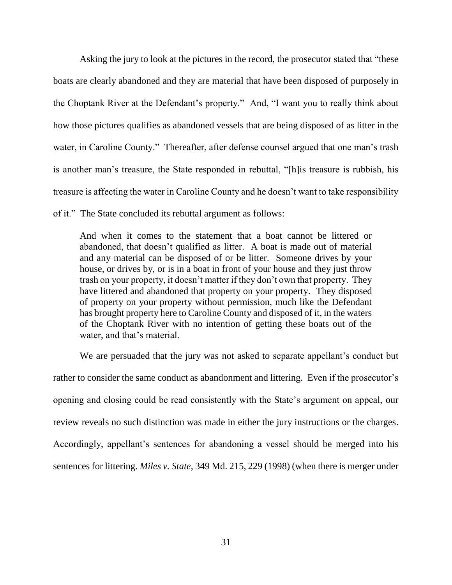Asking the jury to look at the pictures in the record, the prosecutor stated that "these boats are clearly abandoned and they are material that have been disposed of purposely in the Choptank River at the Defendant's property." And, "I want you to really think about how those pictures qualifies as abandoned vessels that are being disposed of as litter in the water, in Caroline County." Thereafter, after defense counsel argued that one man's trash is another man's treasure, the State responded in rebuttal, "[h]is treasure is rubbish, his treasure is affecting the water in Caroline County and he doesn't want to take responsibility

of it." The State concluded its rebuttal argument as follows:

And when it comes to the statement that a boat cannot be littered or abandoned, that doesn't qualified as litter. A boat is made out of material and any material can be disposed of or be litter. Someone drives by your house, or drives by, or is in a boat in front of your house and they just throw trash on your property, it doesn't matter if they don't own that property. They have littered and abandoned that property on your property. They disposed of property on your property without permission, much like the Defendant has brought property here to Caroline County and disposed of it, in the waters of the Choptank River with no intention of getting these boats out of the water, and that's material.

We are persuaded that the jury was not asked to separate appellant's conduct but rather to consider the same conduct as abandonment and littering. Even if the prosecutor's opening and closing could be read consistently with the State's argument on appeal, our review reveals no such distinction was made in either the jury instructions or the charges. Accordingly, appellant's sentences for abandoning a vessel should be merged into his sentences for littering. *Miles v. State*, 349 Md. 215, 229 (1998) (when there is merger under